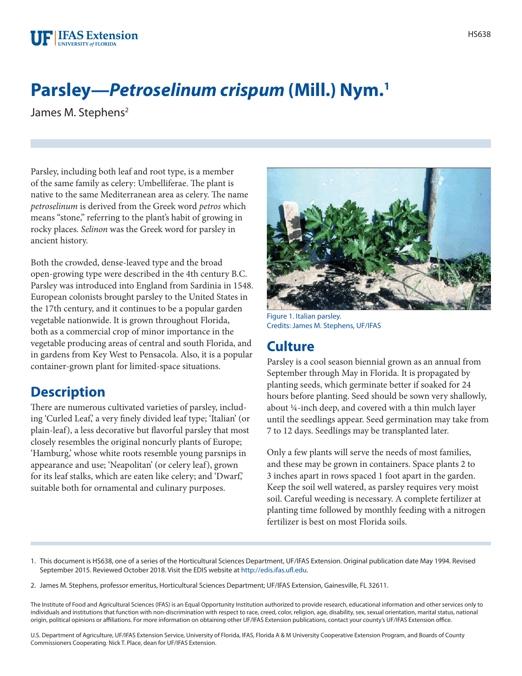## **Parsley—***Petroselinum crispum* **(Mill.) Nym.1**

James M. Stephens<sup>2</sup>

Parsley, including both leaf and root type, is a member of the same family as celery: Umbelliferae. The plant is native to the same Mediterranean area as celery. The name *petroselinum* is derived from the Greek word *petros* which means "stone," referring to the plant's habit of growing in rocky places. *Selinon* was the Greek word for parsley in ancient history.

Both the crowded, dense-leaved type and the broad open-growing type were described in the 4th century B.C. Parsley was introduced into England from Sardinia in 1548. European colonists brought parsley to the United States in the 17th century, and it continues to be a popular garden vegetable nationwide. It is grown throughout Florida, both as a commercial crop of minor importance in the vegetable producing areas of central and south Florida, and in gardens from Key West to Pensacola. Also, it is a popular container-grown plant for limited-space situations.

## **Description**

There are numerous cultivated varieties of parsley, including 'Curled Leaf,' a very finely divided leaf type; 'Italian' (or plain-leaf), a less decorative but flavorful parsley that most closely resembles the original noncurly plants of Europe; 'Hamburg,' whose white roots resemble young parsnips in appearance and use; 'Neapolitan' (or celery leaf), grown for its leaf stalks, which are eaten like celery; and 'Dwarf,' suitable both for ornamental and culinary purposes.



Figure 1. Italian parsley. Credits: James M. Stephens, UF/IFAS

## **Culture**

Parsley is a cool season biennial grown as an annual from September through May in Florida. It is propagated by planting seeds, which germinate better if soaked for 24 hours before planting. Seed should be sown very shallowly, about ¼-inch deep, and covered with a thin mulch layer until the seedlings appear. Seed germination may take from 7 to 12 days. Seedlings may be transplanted later.

Only a few plants will serve the needs of most families, and these may be grown in containers. Space plants 2 to 3 inches apart in rows spaced 1 foot apart in the garden. Keep the soil well watered, as parsley requires very moist soil. Careful weeding is necessary. A complete fertilizer at planting time followed by monthly feeding with a nitrogen fertilizer is best on most Florida soils.

- 1. This document is HS638, one of a series of the Horticultural Sciences Department, UF/IFAS Extension. Original publication date May 1994. Revised September 2015. Reviewed October 2018. Visit the EDIS website at [http://edis.ifas.ufl.edu.](http://edis.ifas.ufl.edu)
- 2. James M. Stephens, professor emeritus, Horticultural Sciences Department; UF/IFAS Extension, Gainesville, FL 32611.

The Institute of Food and Agricultural Sciences (IFAS) is an Equal Opportunity Institution authorized to provide research, educational information and other services only to individuals and institutions that function with non-discrimination with respect to race, creed, color, religion, age, disability, sex, sexual orientation, marital status, national origin, political opinions or affiliations. For more information on obtaining other UF/IFAS Extension publications, contact your county's UF/IFAS Extension office.

U.S. Department of Agriculture, UF/IFAS Extension Service, University of Florida, IFAS, Florida A & M University Cooperative Extension Program, and Boards of County Commissioners Cooperating. Nick T. Place, dean for UF/IFAS Extension.